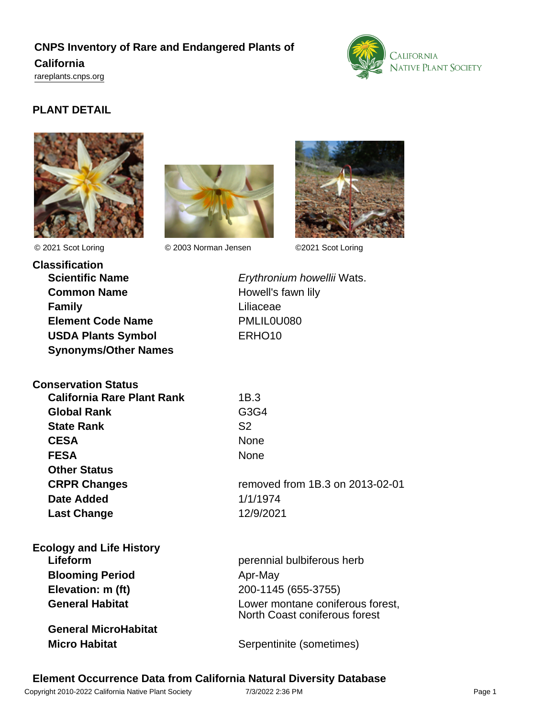# **CNPS Inventory of Rare and Endangered Plants of California**

<rareplants.cnps.org>



## **PLANT DETAIL**





© 2021 Scot Loring © 2003 Norman Jensen ©2021 Scot Loring



**Classification Scientific Name Erythronium howellii Wats. Common Name** Howell's fawn lily **Family** Liliaceae **Element Code Name** PMLIL0U080 **USDA Plants Symbol** ERHO10 **Synonyms/Other Names**

**Conservation Status**

| <b>Global Rank</b>  |                                 |
|---------------------|---------------------------------|
|                     | G3G4                            |
| <b>State Rank</b>   | S <sub>2</sub>                  |
| <b>CESA</b>         | <b>None</b>                     |
| <b>FESA</b>         | <b>None</b>                     |
| <b>Other Status</b> |                                 |
| <b>CRPR Changes</b> | removed from 1B.3 on 2013-02-01 |
| <b>Date Added</b>   | 1/1/1974                        |
| <b>Last Change</b>  | 12/9/2021                       |

| <b>Ecology and Life History</b> |                                                                   |
|---------------------------------|-------------------------------------------------------------------|
| Lifeform                        | perennial bulbiferous herb                                        |
| <b>Blooming Period</b>          | Apr-May                                                           |
| Elevation: m (ft)               | 200-1145 (655-3755)                                               |
| <b>General Habitat</b>          | Lower montane coniferous forest,<br>North Coast coniferous forest |
| <b>General MicroHabitat</b>     |                                                                   |
| <b>Micro Habitat</b>            | Serpentinite (sometimes)                                          |
|                                 |                                                                   |

## **Element Occurrence Data from California Natural Diversity Database**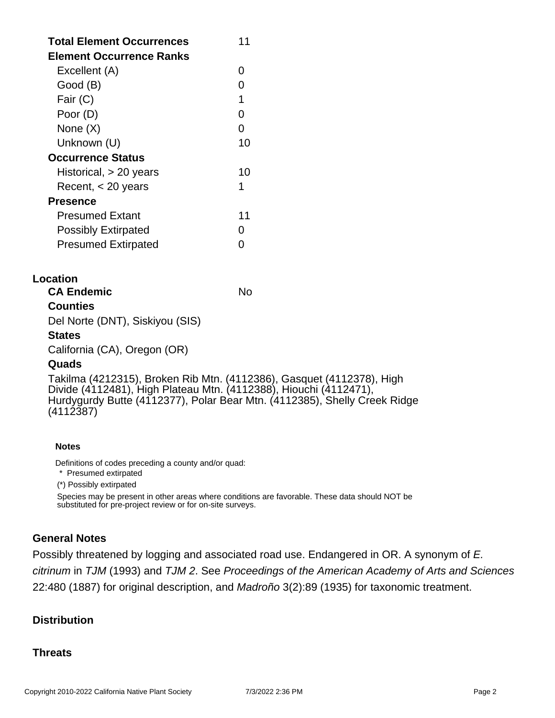| <b>Total Element Occurrences</b><br><b>Element Occurrence Ranks</b> | 11 |
|---------------------------------------------------------------------|----|
| Excellent (A)                                                       | O  |
| Good (B)                                                            | ∩  |
| Fair (C)                                                            | 1  |
| Poor (D)                                                            | O  |
| None $(X)$                                                          | O  |
| Unknown (U)                                                         | 10 |
| <b>Occurrence Status</b>                                            |    |
| Historical, > 20 years                                              | 10 |
| Recent, $<$ 20 years                                                | 1  |
| <b>Presence</b>                                                     |    |
| <b>Presumed Extant</b>                                              | 11 |
| <b>Possibly Extirpated</b>                                          | 0  |
| <b>Presumed Extirpated</b>                                          |    |

### **Location**

| No |
|----|
|    |
|    |
|    |

### **States**

California (CA), Oregon (OR)

#### **Quads**

Takilma (4212315), Broken Rib Mtn. (4112386), Gasquet (4112378), High Divide (4112481), High Plateau Mtn. (4112388), Hiouchi (4112471), Hurdygurdy Butte (4112377), Polar Bear Mtn. (4112385), Shelly Creek Ridge (4112387)

#### **Notes**

Definitions of codes preceding a county and/or quad:

\* Presumed extirpated

(\*) Possibly extirpated

Species may be present in other areas where conditions are favorable. These data should NOT be substituted for pre-project review or for on-site surveys.

## **General Notes**

Possibly threatened by logging and associated road use. Endangered in OR. A synonym of E. citrinum in TJM (1993) and TJM 2. See Proceedings of the American Academy of Arts and Sciences 22:480 (1887) for original description, and Madroño 3(2):89 (1935) for taxonomic treatment.

## **Distribution**

### **Threats**